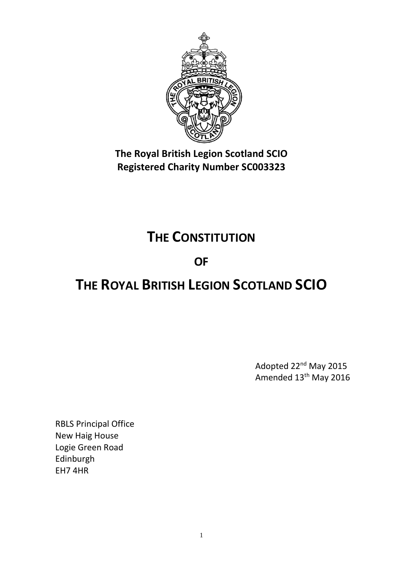

**The Royal British Legion Scotland SCIO Registered Charity Number SC003323**

## **THE CONSTITUTION**

### **OF**

# **THE ROYAL BRITISH LEGION SCOTLAND SCIO**

Adopted 22nd May 2015 Amended 13th May 2016

RBLS Principal Office New Haig House Logie Green Road Edinburgh EH7 4HR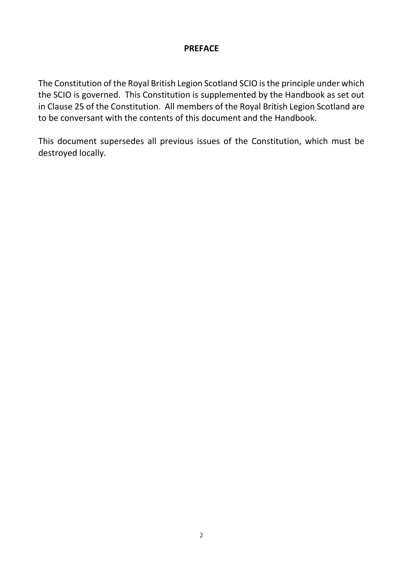### **PREFACE**

The Constitution of the Royal British Legion Scotland SCIO is the principle under which the SCIO is governed. This Constitution is supplemented by the Handbook as set out in Clause 25 of the Constitution. All members of the Royal British Legion Scotland are to be conversant with the contents of this document and the Handbook.

This document supersedes all previous issues of the Constitution, which must be destroyed locally.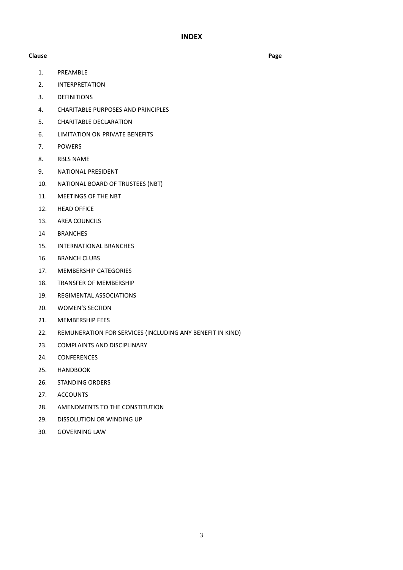**INDEX**

#### **Clause Page**

- [1.](#page-3-0) PREAMBLE
- [2.](#page-3-1) INTERPRETATION
- [3.](#page-3-2) DEFINITIONS
- [4.](#page-4-0) CHARITABLE PURPOSES AND PRINCIPLES
- [5.](#page-5-0) CHARITABLE DECLARATION
- [6.](#page-5-1) LIMITATION ON PRIVATE BENEFITS
- [7.](#page-6-0) POWERS
- 8. RBLS NAME
- 9. NATIONAL PRESIDENT
- 10. NATIONAL BOARD OF TRUSTEES (NBT)
- 11. MEETINGS OF THE NBT
- 12. HEAD OFFICE
- 13. AREA COUNCILS
- 14 BRANCHES
- 15. INTERNATIONAL BRANCHES
- 16. BRANCH CLUBS
- [17.](#page-16-0) MEMBERSHIP CATEGORIES
- 18. TRANSFER OF MEMBERSHIP
- 19. REGIMENTAL ASSOCIATIONS
- 20. WOMEN'S SECTION
- 21. MEMBERSHIP FEES
- 22. REMUNERATION FOR SERVICES (INCLUDING ANY BENEFIT IN KIND)
- 23. COMPLAINTS AND DISCIPLINARY
- 24. CONFERENCES
- 25. HANDBOOK
- 26. STANDING ORDERS
- 27. ACCOUNTS
- 28. AMENDMENTS TO THE CONSTITUTION
- [29.](#page-25-0) DISSOLUTION OR WINDING UP
- 30. GOVERNING LAW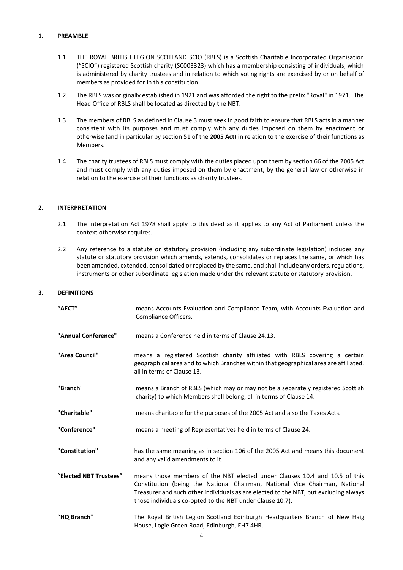#### <span id="page-3-0"></span>**1. PREAMBLE**

- 1.1 THE ROYAL BRITISH LEGION SCOTLAND SCIO (RBLS) is a Scottish Charitable Incorporated Organisation ("SCIO") registered Scottish charity (SC003323) which has a membership consisting of individuals, which is administered by charity trustees and in relation to which voting rights are exercised by or on behalf of members as provided for in this constitution.
- 1.2. The RBLS was originally established in 1921 and was afforded the right to the prefix "Royal" in 1971. The Head Office of RBLS shall be located as directed by the NBT.
- 1.3 The members of RBLS as defined in Clause 3 must seek in good faith to ensure that RBLS acts in a manner consistent with its purposes and must comply with any duties imposed on them by enactment or otherwise (and in particular by section 51 of the **2005 Act**) in relation to the exercise of their functions as Members.
- 1.4 The charity trustees of RBLS must comply with the duties placed upon them by section 66 of the 2005 Act and must comply with any duties imposed on them by enactment, by the general law or otherwise in relation to the exercise of their functions as charity trustees.

#### **2. INTERPRETATION**

- <span id="page-3-1"></span>2.1 The Interpretation Act 1978 shall apply to this deed as it applies to any Act of Parliament unless the context otherwise requires.
- 2.2 Any reference to a statute or statutory provision (including any subordinate legislation) includes any statute or statutory provision which amends, extends, consolidates or replaces the same, or which has been amended, extended, consolidated or replaced by the same, and shall include any orders, regulations, instruments or other subordinate legislation made under the relevant statute or statutory provision.

#### **3. DEFINITIONS**

<span id="page-3-2"></span>

| "AECT"                 | means Accounts Evaluation and Compliance Team, with Accounts Evaluation and<br>Compliance Officers.                                                                                                                                                                                                            |
|------------------------|----------------------------------------------------------------------------------------------------------------------------------------------------------------------------------------------------------------------------------------------------------------------------------------------------------------|
| "Annual Conference"    | means a Conference held in terms of Clause 24.13.                                                                                                                                                                                                                                                              |
| "Area Council"         | means a registered Scottish charity affiliated with RBLS covering a certain<br>geographical area and to which Branches within that geographical area are affiliated,<br>all in terms of Clause 13.                                                                                                             |
| "Branch"               | means a Branch of RBLS (which may or may not be a separately registered Scottish<br>charity) to which Members shall belong, all in terms of Clause 14.                                                                                                                                                         |
| "Charitable"           | means charitable for the purposes of the 2005 Act and also the Taxes Acts.                                                                                                                                                                                                                                     |
| "Conference"           | means a meeting of Representatives held in terms of Clause 24.                                                                                                                                                                                                                                                 |
| "Constitution"         | has the same meaning as in section 106 of the 2005 Act and means this document<br>and any valid amendments to it.                                                                                                                                                                                              |
| "Elected NBT Trustees" | means those members of the NBT elected under Clauses 10.4 and 10.5 of this<br>Constitution (being the National Chairman, National Vice Chairman, National<br>Treasurer and such other individuals as are elected to the NBT, but excluding always<br>those individuals co-opted to the NBT under Clause 10.7). |
| "HQ Branch"            | The Royal British Legion Scotland Edinburgh Headquarters Branch of New Haig<br>House, Logie Green Road, Edinburgh, EH7 4HR.                                                                                                                                                                                    |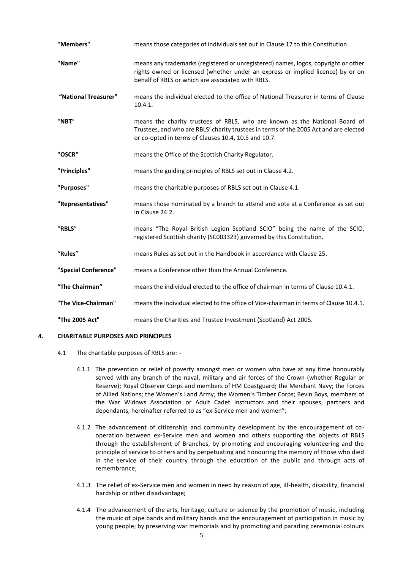| "Members"            | means those categories of individuals set out in Clause 17 to this Constitution.                                                                                                                                            |
|----------------------|-----------------------------------------------------------------------------------------------------------------------------------------------------------------------------------------------------------------------------|
| "Name"               | means any trademarks (registered or unregistered) names, logos, copyright or other<br>rights owned or licensed (whether under an express or implied licence) by or on<br>behalf of RBLS or which are associated with RBLS.  |
| "National Treasurer" | means the individual elected to the office of National Treasurer in terms of Clause<br>10.4.1.                                                                                                                              |
| $"$ NBT"             | means the charity trustees of RBLS, who are known as the National Board of<br>Trustees, and who are RBLS' charity trustees in terms of the 2005 Act and are elected<br>or co-opted in terms of Clauses 10.4, 10.5 and 10.7. |
| "OSCR"               | means the Office of the Scottish Charity Regulator.                                                                                                                                                                         |
| "Principles"         | means the guiding principles of RBLS set out in Clause 4.2.                                                                                                                                                                 |
| "Purposes"           | means the charitable purposes of RBLS set out in Clause 4.1.                                                                                                                                                                |
| "Representatives"    | means those nominated by a branch to attend and vote at a Conference as set out<br>in Clause 24.2.                                                                                                                          |
| "RBLS"               | means "The Royal British Legion Scotland SCIO" being the name of the SCIO,<br>registered Scottish charity (SC003323) governed by this Constitution.                                                                         |
| "Rules"              | means Rules as set out in the Handbook in accordance with Clause 25.                                                                                                                                                        |
| "Special Conference" | means a Conference other than the Annual Conference.                                                                                                                                                                        |
| "The Chairman"       | means the individual elected to the office of chairman in terms of Clause 10.4.1.                                                                                                                                           |
| "The Vice-Chairman"  | means the individual elected to the office of Vice-chairman in terms of Clause 10.4.1.                                                                                                                                      |
| "The 2005 Act"       | means the Charities and Trustee Investment (Scotland) Act 2005.                                                                                                                                                             |

#### <span id="page-4-0"></span>**4. CHARITABLE PURPOSES AND PRINCIPLES**

- 4.1 The charitable purposes of RBLS are:
	- 4.1.1 The prevention or relief of poverty amongst men or women who have at any time honourably served with any branch of the naval, military and air forces of the Crown (whether Regular or Reserve); Royal Observer Corps and members of HM Coastguard; the Merchant Navy; the Forces of Allied Nations; the Women's Land Army; the Women's Timber Corps; Bevin Boys, members of the War Widows Association or Adult Cadet Instructors and their spouses, partners and dependants, hereinafter referred to as "ex-Service men and women";
	- 4.1.2 The advancement of citizenship and community development by the encouragement of cooperation between ex-Service men and women and others supporting the objects of RBLS through the establishment of Branches, by promoting and encouraging volunteering and the principle of service to others and by perpetuating and honouring the memory of those who died in the service of their country through the education of the public and through acts of remembrance;
	- 4.1.3 The relief of ex-Service men and women in need by reason of age, ill-health, disability, financial hardship or other disadvantage;
	- 4.1.4 The advancement of the arts, heritage, culture or science by the promotion of music, including the music of pipe bands and military bands and the encouragement of participation in music by young people; by preserving war memorials and by promoting and parading ceremonial colours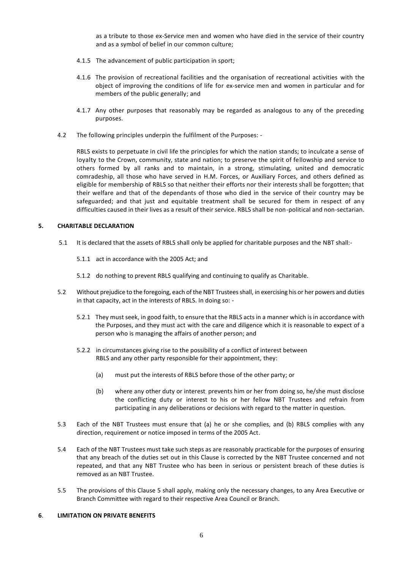as a tribute to those ex-Service men and women who have died in the service of their country and as a symbol of belief in our common culture;

- 4.1.5 The advancement of public participation in sport;
- 4.1.6 The provision of recreational facilities and the organisation of recreational activities with the object of improving the conditions of life for ex-service men and women in particular and for members of the public generally; and
- 4.1.7 Any other purposes that reasonably may be regarded as analogous to any of the preceding purposes.
- 4.2 The following principles underpin the fulfilment of the Purposes: -

RBLS exists to perpetuate in civil life the principles for which the nation stands; to inculcate a sense of loyalty to the Crown, community, state and nation; to preserve the spirit of fellowship and service to others formed by all ranks and to maintain, in a strong, stimulating, united and democratic comradeship, all those who have served in H.M. Forces, or Auxiliary Forces, and others defined as eligible for membership of RBLS so that neither their efforts nor their interests shall be forgotten; that their welfare and that of the dependants of those who died in the service of their country may be safeguarded; and that just and equitable treatment shall be secured for them in respect of any difficulties caused in their lives as a result of their service. RBLS shall be non-political and non-sectarian.

#### **5. CHARITABLE DECLARATION**

- <span id="page-5-0"></span>5.1 It is declared that the assets of RBLS shall only be applied for charitable purposes and the NBT shall:-
	- 5.1.1 act in accordance with the 2005 Act; and
	- 5.1.2 do nothing to prevent RBLS qualifying and continuing to qualify as Charitable.
- 5.2 Without prejudice to the foregoing, each of the NBT Trustees shall, in exercising his or her powers and duties in that capacity, act in the interests of RBLS. In doing so: -
	- 5.2.1 They must seek, in good faith, to ensure that the RBLS acts in a manner which is in accordance with the Purposes, and they must act with the care and diligence which it is reasonable to expect of a person who is managing the affairs of another person; and
	- 5.2.2 in circumstances giving rise to the possibility of a conflict of interest between RBLS and any other party responsible for their appointment, they:
		- (a) must put the interests of RBLS before those of the other party; or
		- (b) where any other duty or interest. prevents him or her from doing so, he/she must disclose the conflicting duty or interest to his or her fellow NBT Trustees and refrain from participating in any deliberations or decisions with regard to the matter in question.
- 5.3 Each of the NBT Trustees must ensure that (a) he or she complies, and (b) RBLS complies with any direction, requirement or notice imposed in terms of the 2005 Act.
- 5.4 Each of the NBT Trustees must take such steps as are reasonably practicable for the purposes of ensuring that any breach of the duties set out in this Clause is corrected by the NBT Trustee concerned and not repeated, and that any NBT Trustee who has been in serious or persistent breach of these duties is removed as an NBT Trustee.
- 5.5 The provisions of this Clause 5 shall apply, making only the necessary changes, to any Area Executive or Branch Committee with regard to their respective Area Council or Branch.

#### <span id="page-5-1"></span>**6**. **LIMITATION ON PRIVATE BENEFITS**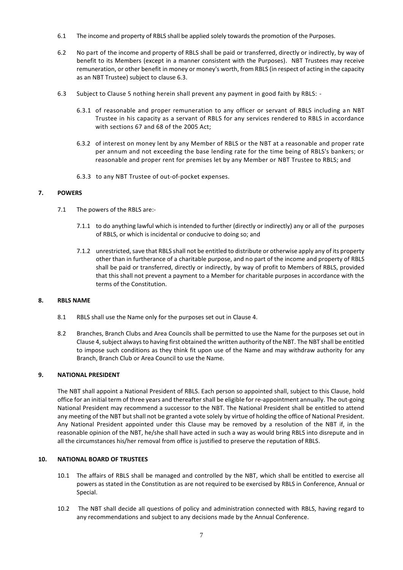- 6.1 The income and property of RBLS shall be applied solely towards the promotion of the Purposes.
- 6.2 No part of the income and property of RBLS shall be paid or transferred, directly or indirectly, by way of benefit to its Members (except in a manner consistent with the Purposes). NBT Trustees may receive remuneration, or other benefit in money or money's worth, from RBLS (in respect of acting in the capacity as an NBT Trustee) subject to clause 6.3.
- 6.3 Subject to Clause 5 nothing herein shall prevent any payment in good faith by RBLS:
	- 6.3.1 of reasonable and proper remuneration to any officer or servant of RBLS including an NBT Trustee in his capacity as a servant of RBLS for any services rendered to RBLS in accordance with sections 67 and 68 of the 2005 Act;
	- 6.3.2 of interest on money lent by any Member of RBLS or the NBT at a reasonable and proper rate per annum and not exceeding the base lending rate for the time being of RBLS's bankers; or reasonable and proper rent for premises let by any Member or NBT Trustee to RBLS; and
	- 6.3.3 to any NBT Trustee of out-of-pocket expenses.

#### **7. POWERS**

- <span id="page-6-0"></span>7.1 The powers of the RBLS are:-
	- 7.1.1 to do anything lawful which is intended to further (directly or indirectly) any or all of the purposes of RBLS, or which is incidental or conducive to doing so; and
	- 7.1.2 unrestricted, save that RBLS shall not be entitled to distribute or otherwise apply any of its property other than in furtherance of a charitable purpose, and no part of the income and property of RBLS shall be paid or transferred, directly or indirectly, by way of profit to Members of RBLS, provided that this shall not prevent a payment to a Member for charitable purposes in accordance with the terms of the Constitution.

#### **8. RBLS NAME**

- 8.1 RBLS shall use the Name only for the purposes set out in Clause 4.
- 8.2 Branches, Branch Clubs and Area Councils shall be permitted to use the Name for the purposes set out in Clause 4,subject always to having first obtained the written authority of the NBT. The NBT shall be entitled to impose such conditions as they think fit upon use of the Name and may withdraw authority for any Branch, Branch Club or Area Council to use the Name.

#### **9. NATIONAL PRESIDENT**

The NBT shall appoint a National President of RBLS. Each person so appointed shall, subject to this Clause, hold office for an initial term of three years and thereafter shall be eligible for re-appointment annually. The out-going National President may recommend a successor to the NBT. The National President shall be entitled to attend any meeting of the NBT but shall not be granted a vote solely by virtue of holding the office of National President. Any National President appointed under this Clause may be removed by a resolution of the NBT if, in the reasonable opinion of the NBT, he/she shall have acted in such a way as would bring RBLS into disrepute and in all the circumstances his/her removal from office is justified to preserve the reputation of RBLS.

#### **10. NATIONAL BOARD OF TRUSTEES**

- 10.1 The affairs of RBLS shall be managed and controlled by the NBT, which shall be entitled to exercise all powers as stated in the Constitution as are not required to be exercised by RBLS in Conference, Annual or Special.
- 10.2 The NBT shall decide all questions of policy and administration connected with RBLS, having regard to any recommendations and subject to any decisions made by the Annual Conference.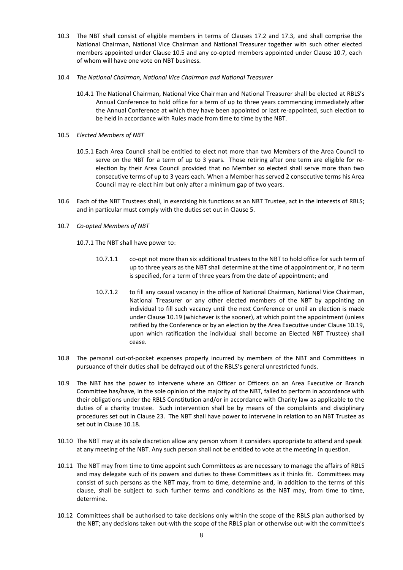- 10.3 The NBT shall consist of eligible members in terms of Clauses 17.2 and 17.3, and shall comprise the National Chairman, National Vice Chairman and National Treasurer together with such other elected members appointed under Clause 10.5 and any co-opted members appointed under Clause 10.7, each of whom will have one vote on NBT business.
- 10.4 *The National Chairman, National Vice Chairman and National Treasurer*
	- 10.4.1 The National Chairman, National Vice Chairman and National Treasurer shall be elected at RBLS's Annual Conference to hold office for a term of up to three years commencing immediately after the Annual Conference at which they have been appointed or last re-appointed, such election to be held in accordance with Rules made from time to time by the NBT.
- 10.5 *Elected Members of NBT*
	- 10.5.1 Each Area Council shall be entitled to elect not more than two Members of the Area Council to serve on the NBT for a term of up to 3 years. Those retiring after one term are eligible for reelection by their Area Council provided that no Member so elected shall serve more than two consecutive terms of up to 3 years each. When a Member has served 2 consecutive terms his Area Council may re-elect him but only after a minimum gap of two years.
- 10.6 Each of the NBT Trustees shall, in exercising his functions as an NBT Trustee, act in the interests of RBLS; and in particular must comply with the duties set out in Clause 5.
- 10.7 *Co-opted Members of NBT*
	- 10.7.1 The NBT shall have power to:
		- 10.7.1.1 co-opt not more than six additional trustees to the NBT to hold office for such term of up to three years as the NBT shall determine at the time of appointment or, if no term is specified, for a term of three years from the date of appointment; and
		- 10.7.1.2 to fill any casual vacancy in the office of National Chairman, National Vice Chairman, National Treasurer or any other elected members of the NBT by appointing an individual to fill such vacancy until the next Conference or until an election is made under Clause 10.19 (whichever is the sooner), at which point the appointment (unless ratified by the Conference or by an election by the Area Executive under Clause 10.19, upon which ratification the individual shall become an Elected NBT Trustee) shall cease.
- 10.8 The personal out-of-pocket expenses properly incurred by members of the NBT and Committees in pursuance of their duties shall be defrayed out of the RBLS's general unrestricted funds.
- 10.9 The NBT has the power to intervene where an Officer or Officers on an Area Executive or Branch Committee has/have, in the sole opinion of the majority of the NBT, failed to perform in accordance with their obligations under the RBLS Constitution and/or in accordance with Charity law as applicable to the duties of a charity trustee. Such intervention shall be by means of the complaints and disciplinary procedures set out in Clause 23. The NBT shall have power to intervene in relation to an NBT Trustee as set out in Clause 10.18.
- 10.10 The NBT may at its sole discretion allow any person whom it considers appropriate to attend and speak at any meeting of the NBT. Any such person shall not be entitled to vote at the meeting in question.
- 10.11 The NBT may from time to time appoint such Committees as are necessary to manage the affairs of RBLS and may delegate such of its powers and duties to these Committees as it thinks fit. Committees may consist of such persons as the NBT may, from to time, determine and, in addition to the terms of this clause, shall be subject to such further terms and conditions as the NBT may, from time to time, determine.
- 10.12 Committees shall be authorised to take decisions only within the scope of the RBLS plan authorised by the NBT; any decisions taken out-with the scope of the RBLS plan or otherwise out-with the committee's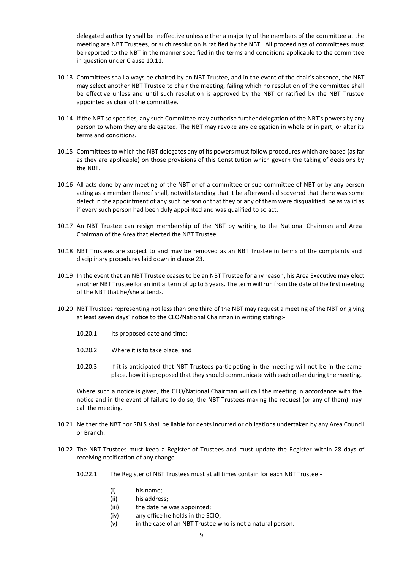delegated authority shall be ineffective unless either a majority of the members of the committee at the meeting are NBT Trustees, or such resolution is ratified by the NBT. All proceedings of committees must be reported to the NBT in the manner specified in the terms and conditions applicable to the committee in question under Clause 10.11.

- 10.13 Committees shall always be chaired by an NBT Trustee, and in the event of the chair's absence, the NBT may select another NBT Trustee to chair the meeting, failing which no resolution of the committee shall be effective unless and until such resolution is approved by the NBT or ratified by the NBT Trustee appointed as chair of the committee.
- 10.14 If the NBT so specifies, any such Committee may authorise further delegation of the NBT's powers by any person to whom they are delegated. The NBT may revoke any delegation in whole or in part, or alter its terms and conditions.
- 10.15 Committees to which the NBT delegates any of its powers must follow procedures which are based (as far as they are applicable) on those provisions of this Constitution which govern the taking of decisions by the NBT.
- 10.16 All acts done by any meeting of the NBT or of a committee or sub-committee of NBT or by any person acting as a member thereof shall, notwithstanding that it be afterwards discovered that there was some defect in the appointment of any such person or that they or any of them were disqualified, be as valid as if every such person had been duly appointed and was qualified to so act.
- 10.17 An NBT Trustee can resign membership of the NBT by writing to the National Chairman and Area Chairman of the Area that elected the NBT Trustee.
- 10.18 NBT Trustees are subject to and may be removed as an NBT Trustee in terms of the complaints and disciplinary procedures laid down in clause 23.
- 10.19 In the event that an NBT Trustee ceases to be an NBT Trustee for any reason, his Area Executive may elect another NBT Trustee for an initial term of up to 3 years. The term will run from the date of the first meeting of the NBT that he/she attends.
- 10.20 NBT Trustees representing not less than one third of the NBT may request a meeting of the NBT on giving at least seven days' notice to the CEO/National Chairman in writing stating:-
	- 10.20.1 Its proposed date and time;
	- 10.20.2 Where it is to take place; and
	- 10.20.3 If it is anticipated that NBT Trustees participating in the meeting will not be in the same place, how it is proposed that they should communicate with each other during the meeting.

Where such a notice is given, the CEO/National Chairman will call the meeting in accordance with the notice and in the event of failure to do so, the NBT Trustees making the request (or any of them) may call the meeting.

- 10.21 Neither the NBT nor RBLS shall be liable for debts incurred or obligations undertaken by any Area Council or Branch.
- 10.22 The NBT Trustees must keep a Register of Trustees and must update the Register within 28 days of receiving notification of any change.
	- 10.22.1 The Register of NBT Trustees must at all times contain for each NBT Trustee:-
		- (i) his name;
		- (ii) his address;
		- (iii) the date he was appointed;
		- (iv) any office he holds in the SCIO;
		- (v) in the case of an NBT Trustee who is not a natural person:-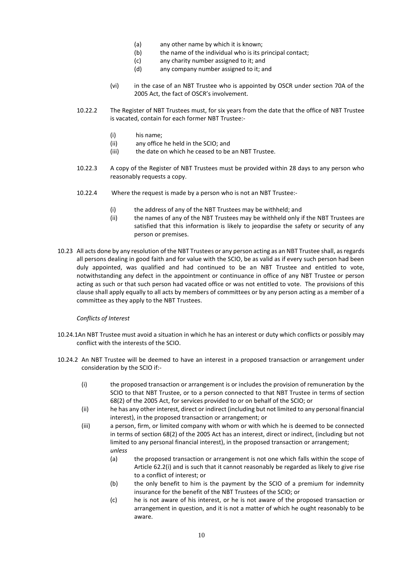- (a) any other name by which it is known;
- (b) the name of the individual who is its principal contact;
- (c) any charity number assigned to it; and
- (d) any company number assigned to it; and
- (vi) in the case of an NBT Trustee who is appointed by OSCR under section 70A of the 2005 Act, the fact of OSCR's involvement.
- 10.22.2 The Register of NBT Trustees must, for six years from the date that the office of NBT Trustee is vacated, contain for each former NBT Trustee:-
	- (i) his name;
	- (ii) any office he held in the SCIO; and
	- (iii) the date on which he ceased to be an NBT Trustee.
- 10.22.3 A copy of the Register of NBT Trustees must be provided within 28 days to any person who reasonably requests a copy.
- 10.22.4 Where the request is made by a person who is not an NBT Trustee:-
	- (i) the address of any of the NBT Trustees may be withheld; and
	- (ii) the names of any of the NBT Trustees may be withheld only if the NBT Trustees are satisfied that this information is likely to jeopardise the safety or security of any person or premises.
- 10.23 All acts done by any resolution of the NBT Trustees or any person acting as an NBT Trustee shall, as regards all persons dealing in good faith and for value with the SCIO, be as valid as if every such person had been duly appointed, was qualified and had continued to be an NBT Trustee and entitled to vote, notwithstanding any defect in the appointment or continuance in office of any NBT Trustee or person acting as such or that such person had vacated office or was not entitled to vote. The provisions of this clause shall apply equally to all acts by members of committees or by any person acting as a member of a committee as they apply to the NBT Trustees.

#### *Conflicts of Interest*

- 10.24.1An NBT Trustee must avoid a situation in which he has an interest or duty which conflicts or possibly may conflict with the interests of the SCIO.
- 10.24.2 An NBT Trustee will be deemed to have an interest in a proposed transaction or arrangement under consideration by the SCIO if:-
	- (i) the proposed transaction or arrangement is or includes the provision of remuneration by the SCIO to that NBT Trustee, or to a person connected to that NBT Trustee in terms of section 68(2) of the 2005 Act, for services provided to or on behalf of the SCIO; or
	- (ii) he has any other interest, direct or indirect (including but not limited to any personal financial interest), in the proposed transaction or arrangement; or
	- (iii) a person, firm, or limited company with whom or with which he is deemed to be connected in terms of section 68(2) of the 2005 Act has an interest, direct or indirect, (including but not limited to any personal financial interest), in the proposed transaction or arrangement; *unless* 
		- (a) the proposed transaction or arrangement is not one which falls within the scope of Article 62.2(i) and is such that it cannot reasonably be regarded as likely to give rise to a conflict of interest; or
		- (b) the only benefit to him is the payment by the SCIO of a premium for indemnity insurance for the benefit of the NBT Trustees of the SCIO; or
		- (c) he is not aware of his interest, or he is not aware of the proposed transaction or arrangement in question, and it is not a matter of which he ought reasonably to be aware.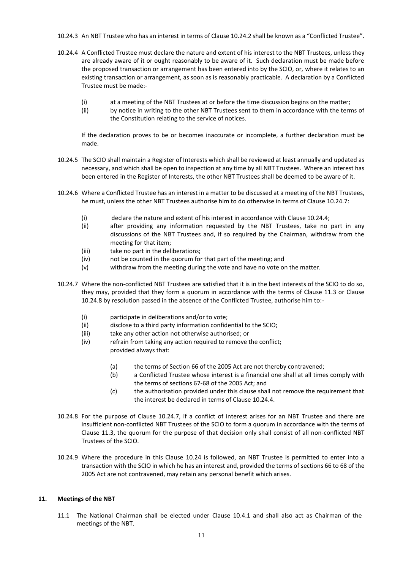- 10.24.3 An NBT Trustee who has an interest in terms of Clause 10.24.2 shall be known as a "Conflicted Trustee".
- 10.24.4 A Conflicted Trustee must declare the nature and extent of his interest to the NBT Trustees, unless they are already aware of it or ought reasonably to be aware of it. Such declaration must be made before the proposed transaction or arrangement has been entered into by the SCIO, or, where it relates to an existing transaction or arrangement, as soon as is reasonably practicable. A declaration by a Conflicted Trustee must be made:-
	- (i) at a meeting of the NBT Trustees at or before the time discussion begins on the matter;
	- (ii) by notice in writing to the other NBT Trustees sent to them in accordance with the terms of the Constitution relating to the service of notices.

If the declaration proves to be or becomes inaccurate or incomplete, a further declaration must be made.

- 10.24.5 The SCIO shall maintain a Register of Interests which shall be reviewed at least annually and updated as necessary, and which shall be open to inspection at any time by all NBT Trustees. Where an interest has been entered in the Register of Interests, the other NBT Trustees shall be deemed to be aware of it.
- 10.24.6 Where a Conflicted Trustee has an interest in a matter to be discussed at a meeting of the NBT Trustees, he must, unless the other NBT Trustees authorise him to do otherwise in terms of Clause 10.24.7:
	- (i) declare the nature and extent of his interest in accordance with Clause 10.24.4;
	- (ii) after providing any information requested by the NBT Trustees, take no part in any discussions of the NBT Trustees and, if so required by the Chairman, withdraw from the meeting for that item;
	- (iii) take no part in the deliberations;
	- (iv) not be counted in the quorum for that part of the meeting; and
	- (v) withdraw from the meeting during the vote and have no vote on the matter.
- 10.24.7 Where the non-conflicted NBT Trustees are satisfied that it is in the best interests of the SCIO to do so, they may, provided that they form a quorum in accordance with the terms of Clause 11.3 or Clause 10.24.8 by resolution passed in the absence of the Conflicted Trustee, authorise him to:-
	- (i) participate in deliberations and/or to vote;
	- (ii) disclose to a third party information confidential to the SCIO;
	- (iii) take any other action not otherwise authorised; or
	- (iv) refrain from taking any action required to remove the conflict; provided always that:
		- (a) the terms of Section 66 of the 2005 Act are not thereby contravened;
		- (b) a Conflicted Trustee whose interest is a financial one shall at all times comply with the terms of sections 67-68 of the 2005 Act; and
		- (c) the authorisation provided under this clause shall not remove the requirement that the interest be declared in terms of Clause 10.24.4.
- 10.24.8 For the purpose of Clause 10.24.7, if a conflict of interest arises for an NBT Trustee and there are insufficient non-conflicted NBT Trustees of the SCIO to form a quorum in accordance with the terms of Clause 11.3, the quorum for the purpose of that decision only shall consist of all non-conflicted NBT Trustees of the SCIO.
- 10.24.9 Where the procedure in this Clause 10.24 is followed, an NBT Trustee is permitted to enter into a transaction with the SCIO in which he has an interest and, provided the terms of sections 66 to 68 of the 2005 Act are not contravened, may retain any personal benefit which arises.

#### **11. Meetings of the NBT**

11.1 The National Chairman shall be elected under Clause 10.4.1 and shall also act as Chairman of the meetings of the NBT.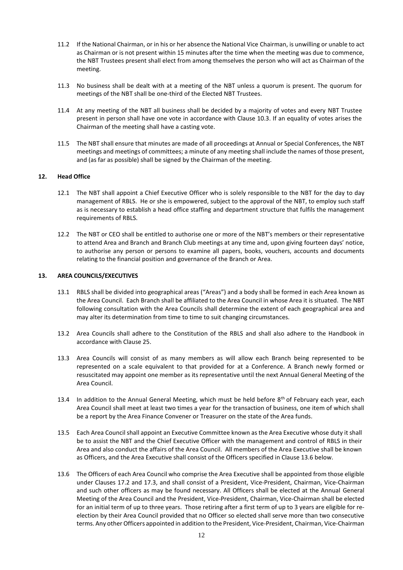- 11.2 If the National Chairman, or in his or her absence the National Vice Chairman, is unwilling or unable to act as Chairman or is not present within 15 minutes after the time when the meeting was due to commence, the NBT Trustees present shall elect from among themselves the person who will act as Chairman of the meeting.
- 11.3 No business shall be dealt with at a meeting of the NBT unless a quorum is present. The quorum for meetings of the NBT shall be one-third of the Elected NBT Trustees.
- 11.4 At any meeting of the NBT all business shall be decided by a majority of votes and every NBT Trustee present in person shall have one vote in accordance with Clause 10.3. If an equality of votes arises the Chairman of the meeting shall have a casting vote.
- 11.5 The NBT shall ensure that minutes are made of all proceedings at Annual or Special Conferences, the NBT meetings and meetings of committees; a minute of any meeting shall include the names of those present, and (as far as possible) shall be signed by the Chairman of the meeting.

#### **12. Head Office**

- 12.1 The NBT shall appoint a Chief Executive Officer who is solely responsible to the NBT for the day to day management of RBLS. He or she is empowered, subject to the approval of the NBT, to employ such staff as is necessary to establish a head office staffing and department structure that fulfils the management requirements of RBLS.
- 12.2 The NBT or CEO shall be entitled to authorise one or more of the NBT's members or their representative to attend Area and Branch and Branch Club meetings at any time and, upon giving fourteen days' notice, to authorise any person or persons to examine all papers, books, vouchers, accounts and documents relating to the financial position and governance of the Branch or Area.

#### **13. AREA COUNCILS/EXECUTIVES**

- 13.1 RBLS shall be divided into geographical areas ("Areas") and a body shall be formed in each Area known as the Area Council. Each Branch shall be affiliated to the Area Council in whose Area it is situated. The NBT following consultation with the Area Councils shall determine the extent of each geographical area and may alter its determination from time to time to suit changing circumstances.
- 13.2 Area Councils shall adhere to the Constitution of the RBLS and shall also adhere to the Handbook in accordance with Clause 25.
- 13.3 Area Councils will consist of as many members as will allow each Branch being represented to be represented on a scale equivalent to that provided for at a Conference. A Branch newly formed or resuscitated may appoint one member as its representative until the next Annual General Meeting of the Area Council.
- 13.4 In addition to the Annual General Meeting, which must be held before  $8<sup>th</sup>$  of February each year, each Area Council shall meet at least two times a year for the transaction of business, one item of which shall be a report by the Area Finance Convener or Treasurer on the state of the Area funds.
- 13.5 Each Area Council shall appoint an Executive Committee known as the Area Executive whose duty it shall be to assist the NBT and the Chief Executive Officer with the management and control of RBLS in their Area and also conduct the affairs of the Area Council. All members of the Area Executive shall be known as Officers, and the Area Executive shall consist of the Officers specified in Clause 13.6 below.
- 13.6 The Officers of each Area Council who comprise the Area Executive shall be appointed from those eligible under Clauses 17.2 and 17.3, and shall consist of a President, Vice-President, Chairman, Vice-Chairman and such other officers as may be found necessary. All Officers shall be elected at the Annual General Meeting of the Area Council and the President, Vice-President, Chairman, Vice-Chairman shall be elected for an initial term of up to three years. Those retiring after a first term of up to 3 years are eligible for reelection by their Area Council provided that no Officer so elected shall serve more than two consecutive terms. Any other Officers appointed in addition to the President, Vice-President, Chairman, Vice-Chairman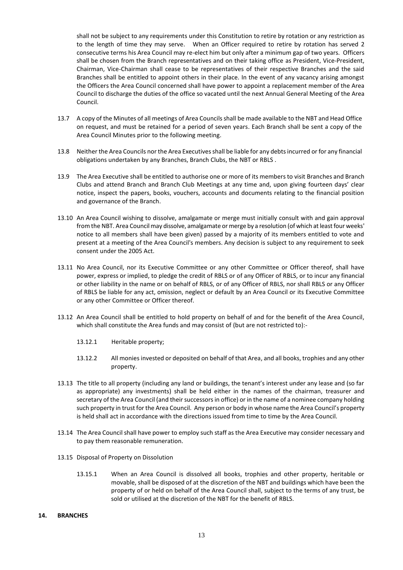shall not be subject to any requirements under this Constitution to retire by rotation or any restriction as to the length of time they may serve. When an Officer required to retire by rotation has served 2 consecutive terms his Area Council may re-elect him but only after a minimum gap of two years. Officers shall be chosen from the Branch representatives and on their taking office as President, Vice-President, Chairman, Vice-Chairman shall cease to be representatives of their respective Branches and the said Branches shall be entitled to appoint others in their place. In the event of any vacancy arising amongst the Officers the Area Council concerned shall have power to appoint a replacement member of the Area Council to discharge the duties of the office so vacated until the next Annual General Meeting of the Area Council.

- 13.7 A copy of the Minutes of all meetings of Area Councils shall be made available to the NBT and Head Office on request, and must be retained for a period of seven years. Each Branch shall be sent a copy of the Area Council Minutes prior to the following meeting.
- 13.8 Neither the Area Councils nor the Area Executivesshall be liable for any debts incurred or for any financial obligations undertaken by any Branches, Branch Clubs, the NBT or RBLS .
- 13.9 The Area Executive shall be entitled to authorise one or more of its members to visit Branches and Branch Clubs and attend Branch and Branch Club Meetings at any time and, upon giving fourteen days' clear notice, inspect the papers, books, vouchers, accounts and documents relating to the financial position and governance of the Branch.
- 13.10 An Area Council wishing to dissolve, amalgamate or merge must initially consult with and gain approval from the NBT. Area Council may dissolve, amalgamate or merge by a resolution (of which at least four weeks' notice to all members shall have been given) passed by a majority of its members entitled to vote and present at a meeting of the Area Council's members. Any decision is subject to any requirement to seek consent under the 2005 Act.
- 13.11 No Area Council, nor its Executive Committee or any other Committee or Officer thereof, shall have power, express or implied, to pledge the credit of RBLS or of any Officer of RBLS, or to incur any financial or other liability in the name or on behalf of RBLS, or of any Officer of RBLS, nor shall RBLS or any Officer of RBLS be liable for any act, omission, neglect or default by an Area Council or its Executive Committee or any other Committee or Officer thereof.
- 13.12 An Area Council shall be entitled to hold property on behalf of and for the benefit of the Area Council, which shall constitute the Area funds and may consist of (but are not restricted to):-
	- 13.12.1 Heritable property;
	- 13.12.2 All monies invested or deposited on behalf of that Area, and all books, trophies and any other property.
- 13.13 The title to all property (including any land or buildings, the tenant's interest under any lease and (so far as appropriate) any investments) shall be held either in the names of the chairman, treasurer and secretary of the Area Council (and their successors in office) or in the name of a nominee company holding such property in trust for the Area Council. Any person or body in whose name the Area Council's property is held shall act in accordance with the directions issued from time to time by the Area Council.
- 13.14 The Area Council shall have power to employ such staff as the Area Executive may consider necessary and to pay them reasonable remuneration.
- 13.15 Disposal of Property on Dissolution
	- 13.15.1 When an Area Council is dissolved all books, trophies and other property, heritable or movable, shall be disposed of at the discretion of the NBT and buildings which have been the property of or held on behalf of the Area Council shall, subject to the terms of any trust, be sold or utilised at the discretion of the NBT for the benefit of RBLS.
- **14. BRANCHES**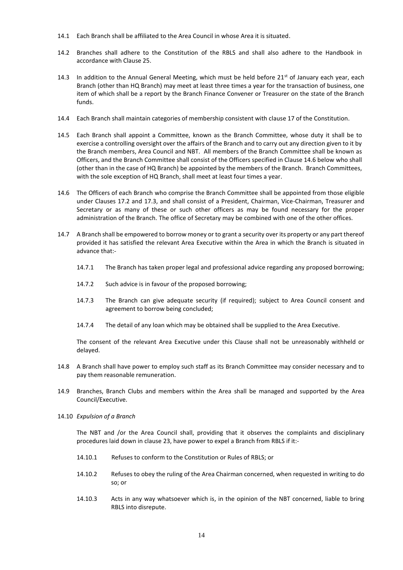- 14.1 Each Branch shall be affiliated to the Area Council in whose Area it is situated.
- 14.2 Branches shall adhere to the Constitution of the RBLS and shall also adhere to the Handbook in accordance with Clause 25.
- 14.3 In addition to the Annual General Meeting, which must be held before  $21<sup>st</sup>$  of January each year, each Branch (other than HQ Branch) may meet at least three times a year for the transaction of business, one item of which shall be a report by the Branch Finance Convener or Treasurer on the state of the Branch funds.
- 14.4 Each Branch shall maintain categories of membership consistent with clause 17 of the Constitution.
- 14.5 Each Branch shall appoint a Committee, known as the Branch Committee, whose duty it shall be to exercise a controlling oversight over the affairs of the Branch and to carry out any direction given to it by the Branch members, Area Council and NBT. All members of the Branch Committee shall be known as Officers, and the Branch Committee shall consist of the Officers specified in Clause 14.6 below who shall (other than in the case of HQ Branch) be appointed by the members of the Branch. Branch Committees, with the sole exception of HQ Branch, shall meet at least four times a year.
- 14.6 The Officers of each Branch who comprise the Branch Committee shall be appointed from those eligible under Clauses 17.2 and 17.3, and shall consist of a President, Chairman, Vice-Chairman, Treasurer and Secretary or as many of these or such other officers as may be found necessary for the proper administration of the Branch. The office of Secretary may be combined with one of the other offices.
- 14.7 A Branch shall be empowered to borrow money or to grant a security over its property or any part thereof provided it has satisfied the relevant Area Executive within the Area in which the Branch is situated in advance that:-
	- 14.7.1 The Branch has taken proper legal and professional advice regarding any proposed borrowing;
	- 14.7.2 Such advice is in favour of the proposed borrowing;
	- 14.7.3 The Branch can give adequate security (if required); subject to Area Council consent and agreement to borrow being concluded;
	- 14.7.4 The detail of any loan which may be obtained shall be supplied to the Area Executive.

The consent of the relevant Area Executive under this Clause shall not be unreasonably withheld or delayed.

- 14.8 A Branch shall have power to employ such staff as its Branch Committee may consider necessary and to pay them reasonable remuneration.
- 14.9 Branches, Branch Clubs and members within the Area shall be managed and supported by the Area Council/Executive.
- 14.10 *Expulsion of a Branch*

The NBT and /or the Area Council shall, providing that it observes the complaints and disciplinary procedures laid down in clause 23, have power to expel a Branch from RBLS if it:-

- 14.10.1 Refuses to conform to the Constitution or Rules of RBLS; or
- 14.10.2 Refuses to obey the ruling of the Area Chairman concerned, when requested in writing to do so; or
- 14.10.3 Acts in any way whatsoever which is, in the opinion of the NBT concerned, liable to bring RBLS into disrepute.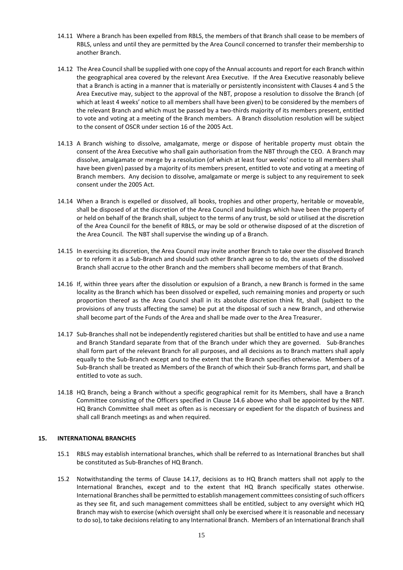- 14.11 Where a Branch has been expelled from RBLS, the members of that Branch shall cease to be members of RBLS, unless and until they are permitted by the Area Council concerned to transfer their membership to another Branch.
- 14.12 The Area Council shall be supplied with one copy of the Annual accounts and report for each Branch within the geographical area covered by the relevant Area Executive. If the Area Executive reasonably believe that a Branch is acting in a manner that is materially or persistently inconsistent with Clauses 4 and 5 the Area Executive may, subject to the approval of the NBT, propose a resolution to dissolve the Branch (of which at least 4 weeks' notice to all members shall have been given) to be considered by the members of the relevant Branch and which must be passed by a two-thirds majority of its members present, entitled to vote and voting at a meeting of the Branch members. A Branch dissolution resolution will be subject to the consent of OSCR under section 16 of the 2005 Act.
- 14.13 A Branch wishing to dissolve, amalgamate, merge or dispose of heritable property must obtain the consent of the Area Executive who shall gain authorisation from the NBT through the CEO. A Branch may dissolve, amalgamate or merge by a resolution (of which at least four weeks' notice to all members shall have been given) passed by a majority of its members present, entitled to vote and voting at a meeting of Branch members. Any decision to dissolve, amalgamate or merge is subject to any requirement to seek consent under the 2005 Act.
- 14.14 When a Branch is expelled or dissolved, all books, trophies and other property, heritable or moveable, shall be disposed of at the discretion of the Area Council and buildings which have been the property of or held on behalf of the Branch shall, subject to the terms of any trust, be sold or utilised at the discretion of the Area Council for the benefit of RBLS, or may be sold or otherwise disposed of at the discretion of the Area Council. The NBT shall supervise the winding up of a Branch.
- 14.15 In exercising its discretion, the Area Council may invite another Branch to take over the dissolved Branch or to reform it as a Sub-Branch and should such other Branch agree so to do, the assets of the dissolved Branch shall accrue to the other Branch and the members shall become members of that Branch.
- 14.16 If, within three years after the dissolution or expulsion of a Branch, a new Branch is formed in the same locality as the Branch which has been dissolved or expelled, such remaining monies and property or such proportion thereof as the Area Council shall in its absolute discretion think fit, shall (subject to the provisions of any trusts affecting the same) be put at the disposal of such a new Branch, and otherwise shall become part of the Funds of the Area and shall be made over to the Area Treasurer.
- 14.17 Sub-Branches shall not be independently registered charities but shall be entitled to have and use a name and Branch Standard separate from that of the Branch under which they are governed. Sub-Branches shall form part of the relevant Branch for all purposes, and all decisions as to Branch matters shall apply equally to the Sub-Branch except and to the extent that the Branch specifies otherwise. Members of a Sub-Branch shall be treated as Members of the Branch of which their Sub-Branch forms part, and shall be entitled to vote as such.
- 14.18 HQ Branch, being a Branch without a specific geographical remit for its Members, shall have a Branch Committee consisting of the Officers specified in Clause 14.6 above who shall be appointed by the NBT. HQ Branch Committee shall meet as often as is necessary or expedient for the dispatch of business and shall call Branch meetings as and when required.

#### **15. INTERNATIONAL BRANCHES**

- 15.1 RBLS may establish international branches, which shall be referred to as International Branches but shall be constituted as Sub-Branches of HQ Branch.
- 15.2 Notwithstanding the terms of Clause 14.17, decisions as to HQ Branch matters shall not apply to the International Branches, except and to the extent that HQ Branch specifically states otherwise. International Branches shall be permitted to establish management committees consisting of such officers as they see fit, and such management committees shall be entitled, subject to any oversight which HQ Branch may wish to exercise (which oversight shall only be exercised where it is reasonable and necessary to do so), to take decisions relating to any International Branch. Members of an International Branch shall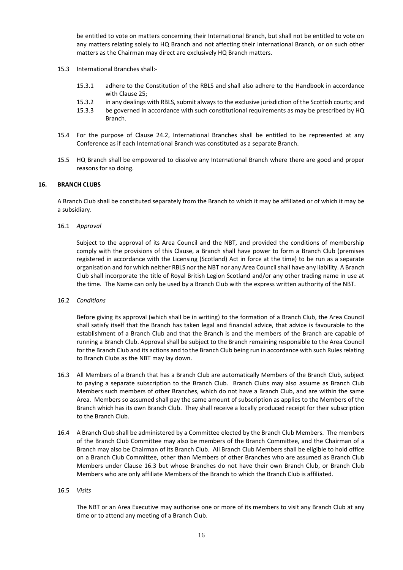be entitled to vote on matters concerning their International Branch, but shall not be entitled to vote on any matters relating solely to HQ Branch and not affecting their International Branch, or on such other matters as the Chairman may direct are exclusively HQ Branch matters.

- 15.3 International Branches shall:-
	- 15.3.1 adhere to the Constitution of the RBLS and shall also adhere to the Handbook in accordance with Clause 25;
	- 15.3.2 in any dealings with RBLS, submit always to the exclusive jurisdiction of the Scottish courts; and
	- 15.3.3 be governed in accordance with such constitutional requirements as may be prescribed by HQ Branch.
- 15.4 For the purpose of Clause 24.2, International Branches shall be entitled to be represented at any Conference as if each International Branch was constituted as a separate Branch.
- 15.5 HQ Branch shall be empowered to dissolve any International Branch where there are good and proper reasons for so doing.

#### **16. BRANCH CLUBS**

A Branch Club shall be constituted separately from the Branch to which it may be affiliated or of which it may be a subsidiary.

#### 16.1 *Approval*

Subject to the approval of its Area Council and the NBT, and provided the conditions of membership comply with the provisions of this Clause, a Branch shall have power to form a Branch Club (premises registered in accordance with the Licensing (Scotland) Act in force at the time) to be run as a separate organisation and for which neither RBLS nor the NBT nor any Area Councilshall have any liability. A Branch Club shall incorporate the title of Royal British Legion Scotland and/or any other trading name in use at the time. The Name can only be used by a Branch Club with the express written authority of the NBT.

#### 16.2 *Conditions*

Before giving its approval (which shall be in writing) to the formation of a Branch Club, the Area Council shall satisfy itself that the Branch has taken legal and financial advice, that advice is favourable to the establishment of a Branch Club and that the Branch is and the members of the Branch are capable of running a Branch Club. Approval shall be subject to the Branch remaining responsible to the Area Council for the Branch Club and its actions and to the Branch Club being run in accordance with such Rules relating to Branch Clubs as the NBT may lay down.

- 16.3 All Members of a Branch that has a Branch Club are automatically Members of the Branch Club, subject to paying a separate subscription to the Branch Club. Branch Clubs may also assume as Branch Club Members such members of other Branches, which do not have a Branch Club, and are within the same Area. Members so assumed shall pay the same amount of subscription as applies to the Members of the Branch which has its own Branch Club. They shall receive a locally produced receipt for their subscription to the Branch Club.
- 16.4 A Branch Club shall be administered by a Committee elected by the Branch Club Members. The members of the Branch Club Committee may also be members of the Branch Committee, and the Chairman of a Branch may also be Chairman of its Branch Club. All Branch Club Members shall be eligible to hold office on a Branch Club Committee, other than Members of other Branches who are assumed as Branch Club Members under Clause 16.3 but whose Branches do not have their own Branch Club, or Branch Club Members who are only affiliate Members of the Branch to which the Branch Club is affiliated.

#### 16.5 *Visits*

The NBT or an Area Executive may authorise one or more of its members to visit any Branch Club at any time or to attend any meeting of a Branch Club.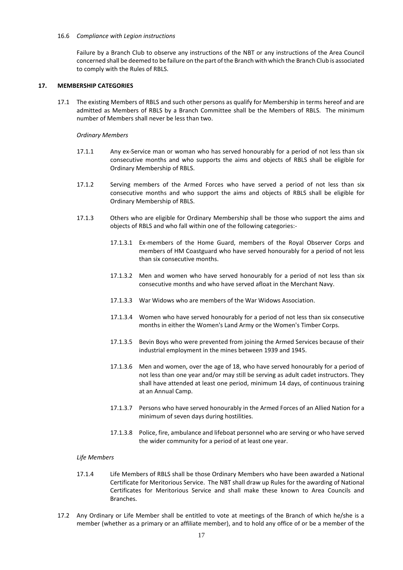#### 16.6 *Compliance with Legion instructions*

Failure by a Branch Club to observe any instructions of the NBT or any instructions of the Area Council concerned shall be deemed to be failure on the part of the Branch with which the Branch Club is associated to comply with the Rules of RBLS.

#### **17. MEMBERSHIP CATEGORIES**

<span id="page-16-0"></span>17.1 The existing Members of RBLS and such other persons as qualify for Membership in terms hereof and are admitted as Members of RBLS by a Branch Committee shall be the Members of RBLS. The minimum number of Members shall never be less than two.

#### *Ordinary Members*

- 17.1.1 Any ex-Service man or woman who has served honourably for a period of not less than six consecutive months and who supports the aims and objects of RBLS shall be eligible for Ordinary Membership of RBLS.
- 17.1.2 Serving members of the Armed Forces who have served a period of not less than six consecutive months and who support the aims and objects of RBLS shall be eligible for Ordinary Membership of RBLS.
- 17.1.3 Others who are eligible for Ordinary Membership shall be those who support the aims and objects of RBLS and who fall within one of the following categories:-
	- 17.1.3.1 Ex-members of the Home Guard, members of the Royal Observer Corps and members of HM Coastguard who have served honourably for a period of not less than six consecutive months.
	- 17.1.3.2 Men and women who have served honourably for a period of not less than six consecutive months and who have served afloat in the Merchant Navy.
	- 17.1.3.3 War Widows who are members of the War Widows Association.
	- 17.1.3.4 Women who have served honourably for a period of not less than six consecutive months in either the Women's Land Army or the Women's Timber Corps.
	- 17.1.3.5 Bevin Boys who were prevented from joining the Armed Services because of their industrial employment in the mines between 1939 and 1945.
	- 17.1.3.6 Men and women, over the age of 18, who have served honourably for a period of not less than one year and/or may still be serving as adult cadet instructors. They shall have attended at least one period, minimum 14 days, of continuous training at an Annual Camp.
	- 17.1.3.7 Persons who have served honourably in the Armed Forces of an Allied Nation for a minimum of seven days during hostilities.
	- 17.1.3.8 Police, fire, ambulance and lifeboat personnel who are serving or who have served the wider community for a period of at least one year.

#### *Life Members*

- 17.1.4 Life Members of RBLS shall be those Ordinary Members who have been awarded a National Certificate for Meritorious Service. The NBT shall draw up Rules for the awarding of National Certificates for Meritorious Service and shall make these known to Area Councils and **Branches**
- 17.2 Any Ordinary or Life Member shall be entitled to vote at meetings of the Branch of which he/she is a member (whether as a primary or an affiliate member), and to hold any office of or be a member of the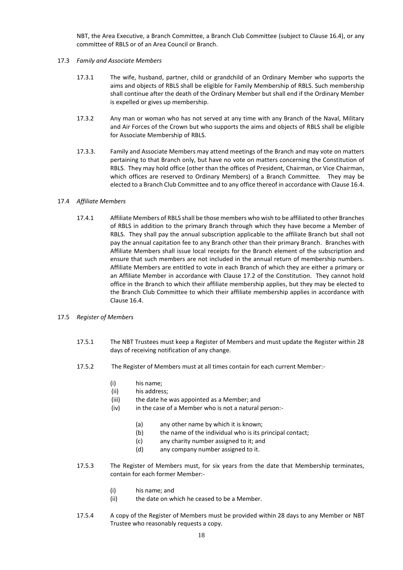NBT, the Area Executive, a Branch Committee, a Branch Club Committee (subject to Clause 16.4), or any committee of RBLS or of an Area Council or Branch.

#### 17.3 *Family and Associate Members*

- 17.3.1 The wife, husband, partner, child or grandchild of an Ordinary Member who supports the aims and objects of RBLS shall be eligible for Family Membership of RBLS. Such membership shall continue after the death of the Ordinary Member but shall end if the Ordinary Member is expelled or gives up membership.
- 17.3.2 Any man or woman who has not served at any time with any Branch of the Naval, Military and Air Forces of the Crown but who supports the aims and objects of RBLS shall be eligible for Associate Membership of RBLS.
- 17.3.3. Family and Associate Members may attend meetings of the Branch and may vote on matters pertaining to that Branch only, but have no vote on matters concerning the Constitution of RBLS. They may hold office (other than the offices of President, Chairman, or Vice Chairman, which offices are reserved to Ordinary Members) of a Branch Committee. They may be elected to a Branch Club Committee and to any office thereof in accordance with Clause 16.4.

#### 17.4 *Affiliate Members*

17.4.1 Affiliate Members of RBLS shall be those members who wish to be affiliated to other Branches of RBLS in addition to the primary Branch through which they have become a Member of RBLS. They shall pay the annual subscription applicable to the affiliate Branch but shall not pay the annual capitation fee to any Branch other than their primary Branch. Branches with Affiliate Members shall issue local receipts for the Branch element of the subscription and ensure that such members are not included in the annual return of membership numbers. Affiliate Members are entitled to vote in each Branch of which they are either a primary or an Affiliate Member in accordance with Clause 17.2 of the Constitution. They cannot hold office in the Branch to which their affiliate membership applies, but they may be elected to the Branch Club Committee to which their affiliate membership applies in accordance with Clause 16.4.

#### 17.5 *Register of Members*

- 17.5.1 The NBT Trustees must keep a Register of Members and must update the Register within 28 days of receiving notification of any change.
- 17.5.2 The Register of Members must at all times contain for each current Member:-
	- (i) his name;
	- (ii) his address;
	- (iii) the date he was appointed as a Member; and
	- (iv) in the case of a Member who is not a natural person:-
		- (a) any other name by which it is known;
		- (b) the name of the individual who is its principal contact;
		- (c) any charity number assigned to it; and
		- (d) any company number assigned to it.
- 17.5.3 The Register of Members must, for six years from the date that Membership terminates, contain for each former Member:-
	- (i) his name; and
	- (ii) the date on which he ceased to be a Member.
- 17.5.4 A copy of the Register of Members must be provided within 28 days to any Member or NBT Trustee who reasonably requests a copy.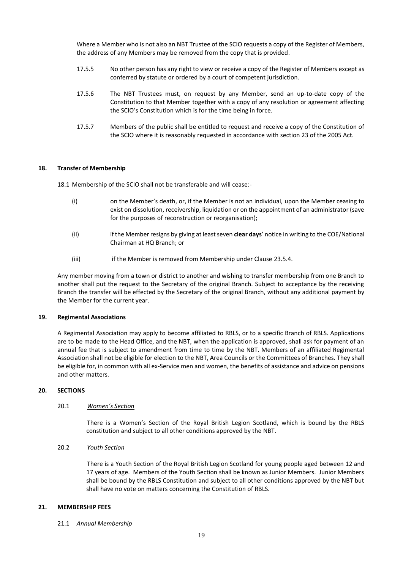Where a Member who is not also an NBT Trustee of the SCIO requests a copy of the Register of Members, the address of any Members may be removed from the copy that is provided.

- 17.5.5 No other person has any right to view or receive a copy of the Register of Members except as conferred by statute or ordered by a court of competent jurisdiction.
- 17.5.6 The NBT Trustees must, on request by any Member, send an up-to-date copy of the Constitution to that Member together with a copy of any resolution or agreement affecting the SCIO's Constitution which is for the time being in force.
- 17.5.7 Members of the public shall be entitled to request and receive a copy of the Constitution of the SCIO where it is reasonably requested in accordance with section 23 of the 2005 Act.

#### **18. Transfer of Membership**

18.1 Membership of the SCIO shall not be transferable and will cease:-

- (i) on the Member's death, or, if the Member is not an individual, upon the Member ceasing to exist on dissolution, receivership, liquidation or on the appointment of an administrator (save for the purposes of reconstruction or reorganisation);
- (ii) if the Member resigns by giving at least seven **clear days**' notice in writing to the COE/National Chairman at HQ Branch; or
- (iii) if the Member is removed from Membership under Clause 23.5.4.

Any member moving from a town or district to another and wishing to transfer membership from one Branch to another shall put the request to the Secretary of the original Branch. Subject to acceptance by the receiving Branch the transfer will be effected by the Secretary of the original Branch, without any additional payment by the Member for the current year.

#### **19. Regimental Associations**

A Regimental Association may apply to become affiliated to RBLS, or to a specific Branch of RBLS. Applications are to be made to the Head Office, and the NBT, when the application is approved, shall ask for payment of an annual fee that is subject to amendment from time to time by the NBT. Members of an affiliated Regimental Association shall not be eligible for election to the NBT, Area Councils or the Committees of Branches. They shall be eligible for, in common with all ex-Service men and women, the benefits of assistance and advice on pensions and other matters.

#### **20. SECTIONS**

#### 20.1 *Women's Section*

There is a Women's Section of the Royal British Legion Scotland, which is bound by the RBLS constitution and subject to all other conditions approved by the NBT.

#### 20.2 *Youth Section*

There is a Youth Section of the Royal British Legion Scotland for young people aged between 12 and 17 years of age. Members of the Youth Section shall be known as Junior Members. Junior Members shall be bound by the RBLS Constitution and subject to all other conditions approved by the NBT but shall have no vote on matters concerning the Constitution of RBLS.

#### **21. MEMBERSHIP FEES**

21.1 *Annual Membership*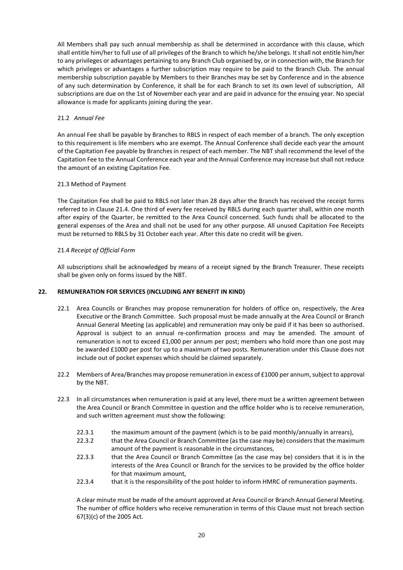All Members shall pay such annual membership as shall be determined in accordance with this clause, which shall entitle him/her to full use of all privileges of the Branch to which he/she belongs. It shall not entitle him/her to any privileges or advantages pertaining to any Branch Club organised by, or in connection with, the Branch for which privileges or advantages a further subscription may require to be paid to the Branch Club. The annual membership subscription payable by Members to their Branches may be set by Conference and in the absence of any such determination by Conference, it shall be for each Branch to set its own level of subscription, All subscriptions are due on the 1st of November each year and are paid in advance for the ensuing year. No special allowance is made for applicants joining during the year.

#### 21.2 *Annual Fee*

An annual Fee shall be payable by Branches to RBLS in respect of each member of a branch. The only exception to this requirement is life members who are exempt. The Annual Conference shall decide each year the amount of the Capitation Fee payable by Branches in respect of each member. The NBT shall recommend the level of the Capitation Fee to the Annual Conference each year and the Annual Conference may increase but shall not reduce the amount of an existing Capitation Fee.

#### 21.3 Method of Payment

The Capitation Fee shall be paid to RBLS not later than 28 days after the Branch has received the receipt forms referred to in Clause 21.4. One third of every fee received by RBLS during each quarter shall, within one month after expiry of the Quarter, be remitted to the Area Council concerned. Such funds shall be allocated to the general expenses of the Area and shall not be used for any other purpose. All unused Capitation Fee Receipts must be returned to RBLS by 31 October each year. After this date no credit will be given.

#### 21.4 *Receipt of Official Form*

All subscriptions shall be acknowledged by means of a receipt signed by the Branch Treasurer. These receipts shall be given only on forms issued by the NBT.

#### **22. REMUNERATION FOR SERVICES (INCLUDING ANY BENEFIT IN KIND)**

- 22.1 Area Councils or Branches may propose remuneration for holders of office on, respectively, the Area Executive or the Branch Committee. Such proposal must be made annually at the Area Council or Branch Annual General Meeting (as applicable) and remuneration may only be paid if it has been so authorised. Approval is subject to an annual re-confirmation process and may be amended. The amount of remuneration is not to exceed £1,000 per annum per post; members who hold more than one post may be awarded £1000 per post for up to a maximum of two posts. Remuneration under this Clause does not include out of pocket expenses which should be claimed separately.
- 22.2 Members of Area/Branches may propose remuneration in excess of £1000 per annum, subject to approval by the NBT.
- 22.3 In all circumstances when remuneration is paid at any level, there must be a written agreement between the Area Council or Branch Committee in question and the office holder who is to receive remuneration, and such written agreement must show the following:
	- 22.3.1 the maximum amount of the payment (which is to be paid monthly/annually in arrears),
	- 22.3.2 that the Area Council or Branch Committee (as the case may be) considers that the maximum amount of the payment is reasonable in the circumstances,
	- 22.3.3 that the Area Council or Branch Committee (as the case may be) considers that it is in the interests of the Area Council or Branch for the services to be provided by the office holder for that maximum amount,
	- 22.3.4 that it is the responsibility of the post holder to inform HMRC of remuneration payments.

A clear minute must be made of the amount approved at Area Council or Branch Annual General Meeting. The number of office holders who receive remuneration in terms of this Clause must not breach section 67(3)(c) of the 2005 Act.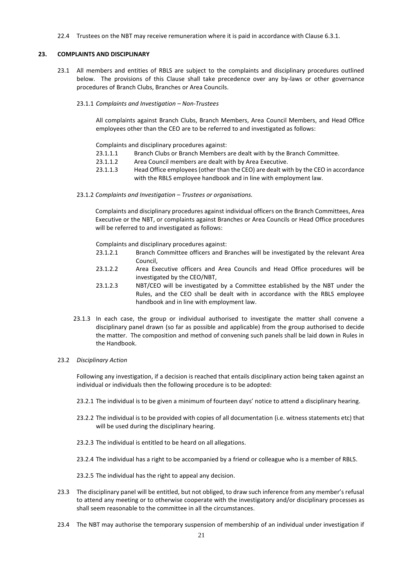22.4 Trustees on the NBT may receive remuneration where it is paid in accordance with Clause 6.3.1.

#### **23. COMPLAINTS AND DISCIPLINARY**

- 23.1 All members and entities of RBLS are subject to the complaints and disciplinary procedures outlined below. The provisions of this Clause shall take precedence over any by-laws or other governance procedures of Branch Clubs, Branches or Area Councils.
	- 23.1.1 *Complaints and Investigation – Non-Trustees*

All complaints against Branch Clubs, Branch Members, Area Council Members, and Head Office employees other than the CEO are to be referred to and investigated as follows:

Complaints and disciplinary procedures against:

- 23.1.1.1 Branch Clubs or Branch Members are dealt with by the Branch Committee.
- 23.1.1.2 Area Council members are dealt with by Area Executive.
- 23.1.1.3 Head Office employees (other than the CEO) are dealt with by the CEO in accordance with the RBLS employee handbook and in line with employment law.
- 23.1.2 *Complaints and Investigation – Trustees or organisations.*

Complaints and disciplinary procedures against individual officers on the Branch Committees, Area Executive or the NBT, or complaints against Branches or Area Councils or Head Office procedures will be referred to and investigated as follows:

Complaints and disciplinary procedures against:

- 23.1.2.1 Branch Committee officers and Branches will be investigated by the relevant Area Council,
- 23.1.2.2 Area Executive officers and Area Councils and Head Office procedures will be investigated by the CEO/NBT,
- 23.1.2.3 NBT/CEO will be investigated by a Committee established by the NBT under the Rules, and the CEO shall be dealt with in accordance with the RBLS employee handbook and in line with employment law.
- 23.1.3 In each case, the group or individual authorised to investigate the matter shall convene a disciplinary panel drawn (so far as possible and applicable) from the group authorised to decide the matter. The composition and method of convening such panels shall be laid down in Rules in the Handbook.

#### 23.2 *Disciplinary Action*

Following any investigation, if a decision is reached that entails disciplinary action being taken against an individual or individuals then the following procedure is to be adopted:

- 23.2.1 The individual is to be given a minimum of fourteen days' notice to attend a disciplinary hearing.
- 23.2.2 The individual is to be provided with copies of all documentation (i.e. witness statements etc) that will be used during the disciplinary hearing.
- 23.2.3 The individual is entitled to be heard on all allegations.
- 23.2.4 The individual has a right to be accompanied by a friend or colleague who is a member of RBLS.

23.2.5 The individual has the right to appeal any decision.

- 23.3 The disciplinary panel will be entitled, but not obliged, to draw such inference from any member's refusal to attend any meeting or to otherwise cooperate with the investigatory and/or disciplinary processes as shall seem reasonable to the committee in all the circumstances.
- 23.4 The NBT may authorise the temporary suspension of membership of an individual under investigation if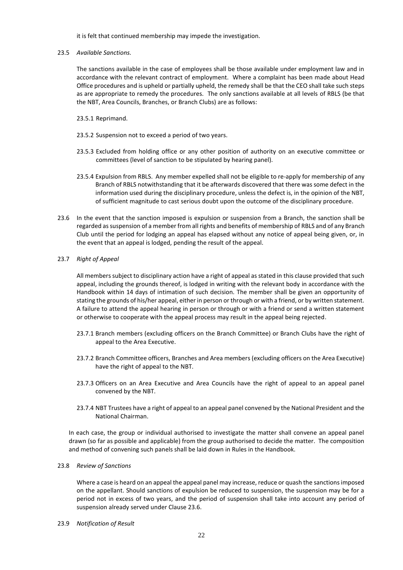it is felt that continued membership may impede the investigation.

#### 23.5 *Available Sanctions.*

The sanctions available in the case of employees shall be those available under employment law and in accordance with the relevant contract of employment. Where a complaint has been made about Head Office procedures and is upheld or partially upheld, the remedy shall be that the CEO shall take such steps as are appropriate to remedy the procedures. The only sanctions available at all levels of RBLS (be that the NBT, Area Councils, Branches, or Branch Clubs) are as follows:

- 23.5.1 Reprimand.
- 23.5.2 Suspension not to exceed a period of two years.
- 23.5.3 Excluded from holding office or any other position of authority on an executive committee or committees (level of sanction to be stipulated by hearing panel).
- 23.5.4 Expulsion from RBLS. Any member expelled shall not be eligible to re-apply for membership of any Branch of RBLS notwithstanding that it be afterwards discovered that there was some defect in the information used during the disciplinary procedure, unless the defect is, in the opinion of the NBT, of sufficient magnitude to cast serious doubt upon the outcome of the disciplinary procedure.
- 23.6 In the event that the sanction imposed is expulsion or suspension from a Branch, the sanction shall be regarded as suspension of a member from all rights and benefits of membership of RBLS and of any Branch Club until the period for lodging an appeal has elapsed without any notice of appeal being given, or, in the event that an appeal is lodged, pending the result of the appeal.

#### 23.7 *Right of Appeal*

All members subject to disciplinary action have a right of appeal as stated in this clause provided that such appeal, including the grounds thereof, is lodged in writing with the relevant body in accordance with the Handbook within 14 days of intimation of such decision. The member shall be given an opportunity of stating the grounds of his/her appeal, either in person or through or with a friend, or by written statement. A failure to attend the appeal hearing in person or through or with a friend or send a written statement or otherwise to cooperate with the appeal process may result in the appeal being rejected.

- 23.7.1 Branch members (excluding officers on the Branch Committee) or Branch Clubs have the right of appeal to the Area Executive.
- 23.7.2 Branch Committee officers, Branches and Area members (excluding officers on the Area Executive) have the right of appeal to the NBT.
- 23.7.3 Officers on an Area Executive and Area Councils have the right of appeal to an appeal panel convened by the NBT.
- 23.7.4 NBT Trustees have a right of appeal to an appeal panel convened by the National President and the National Chairman.

In each case, the group or individual authorised to investigate the matter shall convene an appeal panel drawn (so far as possible and applicable) from the group authorised to decide the matter. The composition and method of convening such panels shall be laid down in Rules in the Handbook.

#### 23.8 *Review of Sanctions*

Where a case is heard on an appeal the appeal panel may increase, reduce or quash the sanctions imposed on the appellant. Should sanctions of expulsion be reduced to suspension, the suspension may be for a period not in excess of two years, and the period of suspension shall take into account any period of suspension already served under Clause 23.6.

23.9 *Notification of Result*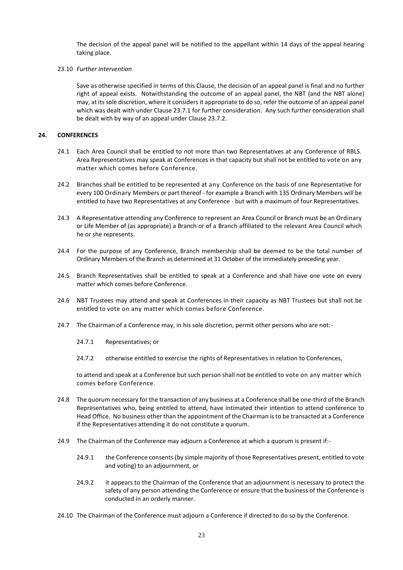The decision of the appeal panel will be notified to the appellant within 14 days of the appeal hearing taking place.

#### 23.10 *Further Intervention*

Save as otherwise specified in terms of this Clause, the decision of an appeal panel is final and no further right of appeal exists. Notwithstanding the outcome of an appeal panel, the NBT (and the NBT alone) may, at its sole discretion, where it considers it appropriate to do so, refer the outcome of an appeal panel which was dealt with under Clause 23.7.1 for further consideration. Any such further consideration shall be dealt with by way of an appeal under Clause 23.7.2.

#### **24. CONFERENCES**

- 24.1 Each Area Council shall be entitled to not more than two Representatives at any Conference of RBLS. Area Representatives may speak at Conferences in that capacity but shall not be entitled to vote on any matter which comes before Conference.
- 24.2 Branches shall be entitled to be represented at any Conference on the basis of one Representative for every 100 Ordinary Members or part thereof - for example a Branch with 135 Ordinary Members will be entitled to have two Representatives at any Conference - but with a maximum of four Representatives.
- 24.3 A Representative attending any Conference to represent an Area Council or Branch must be an Ordinary or Life Member of (as appropriate) a Branch or of a Branch affiliated to the relevant Area Council which he or she represents.
- 24.4 For the purpose of any Conference, Branch membership shall be deemed to be the total number of Ordinary Members of the Branch as determined at 31 October of the immediately preceding year.
- 24.5 Branch Representatives shall be entitled to speak at a Conference and shall have one vote on every matter which comes before Conference.
- 24.6 NBT Trustees may attend and speak at Conferences in their capacity as NBT Trustees but shall not be entitled to vote on any matter which comes before Conference.
- 24.7 The Chairman of a Conference may, in his sole discretion, permit other persons who are not:-
	- 24.7.1 Representatives; or
	- 24.7.2 otherwise entitled to exercise the rights of Representatives in relation to Conferences,

to attend and speak at a Conference but such person shall not be entitled to vote on any matter which comes before Conference.

- 24.8 The quorum necessary for the transaction of any business at a Conference shall be one-third of the Branch Representatives who, being entitled to attend, have intimated their intention to attend conference to Head Office. No business other than the appointment of the Chairman is to be transacted at a Conference if the Representatives attending it do not constitute a quorum.
- 24.9 The Chairman of the Conference may adjourn a Conference at which a quorum is present if:-
	- 24.9.1 the Conference consents (by simple majority of those Representatives present, entitled to vote and voting) to an adjournment, or
	- 24.9.2 it appears to the Chairman of the Conference that an adjournment is necessary to protect the safety of any person attending the Conference or ensure that the business of the Conference is conducted in an orderly manner.
- 24.10 The Chairman of the Conference must adjourn a Conference if directed to do so by the Conference.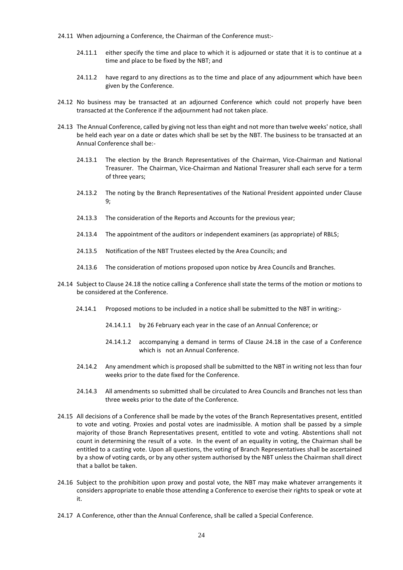- 24.11 When adjourning a Conference, the Chairman of the Conference must:-
	- 24.11.1 either specify the time and place to which it is adjourned or state that it is to continue at a time and place to be fixed by the NBT; and
	- 24.11.2 have regard to any directions as to the time and place of any adjournment which have been given by the Conference.
- 24.12 No business may be transacted at an adjourned Conference which could not properly have been transacted at the Conference if the adjournment had not taken place.
- 24.13 The Annual Conference, called by giving not less than eight and not more than twelve weeks' notice, shall be held each year on a date or dates which shall be set by the NBT. The business to be transacted at an Annual Conference shall be:-
	- 24.13.1 The election by the Branch Representatives of the Chairman, Vice-Chairman and National Treasurer. The Chairman, Vice-Chairman and National Treasurer shall each serve for a term of three years;
	- 24.13.2 The noting by the Branch Representatives of the National President appointed under Clause 9;
	- 24.13.3 The consideration of the Reports and Accounts for the previous year;
	- 24.13.4 The appointment of the auditors or independent examiners (as appropriate) of RBLS;
	- 24.13.5 Notification of the NBT Trustees elected by the Area Councils; and
	- 24.13.6 The consideration of motions proposed upon notice by Area Councils and Branches.
- 24.14 Subject to Clause 24.18 the notice calling a Conference shall state the terms of the motion or motions to be considered at the Conference.
	- 24.14.1 Proposed motions to be included in a notice shall be submitted to the NBT in writing:-
		- 24.14.1.1 by 26 February each year in the case of an Annual Conference; or
		- 24.14.1.2 accompanying a demand in terms of Clause 24.18 in the case of a Conference which is not an Annual Conference.
	- 24.14.2 Any amendment which is proposed shall be submitted to the NBT in writing not less than four weeks prior to the date fixed for the Conference.
	- 24.14.3 All amendments so submitted shall be circulated to Area Councils and Branches not less than three weeks prior to the date of the Conference.
- 24.15 All decisions of a Conference shall be made by the votes of the Branch Representatives present, entitled to vote and voting. Proxies and postal votes are inadmissible. A motion shall be passed by a simple majority of those Branch Representatives present, entitled to vote and voting. Abstentions shall not count in determining the result of a vote. In the event of an equality in voting, the Chairman shall be entitled to a casting vote. Upon all questions, the voting of Branch Representatives shall be ascertained by a show of voting cards, or by any other system authorised by the NBT unless the Chairman shall direct that a ballot be taken.
- 24.16 Subject to the prohibition upon proxy and postal vote, the NBT may make whatever arrangements it considers appropriate to enable those attending a Conference to exercise their rights to speak or vote at it.
- 24.17 A Conference, other than the Annual Conference, shall be called a Special Conference.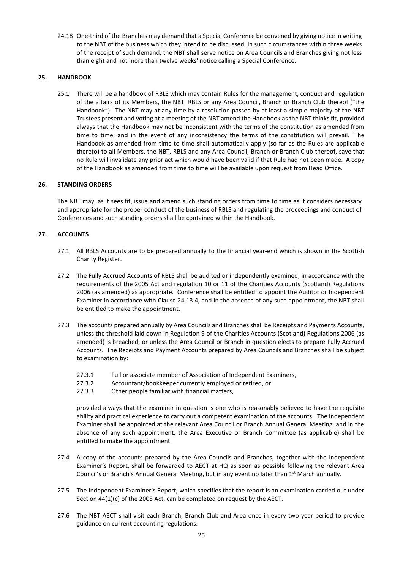24.18 One-third of the Branches may demand that a Special Conference be convened by giving notice in writing to the NBT of the business which they intend to be discussed. In such circumstances within three weeks of the receipt of such demand, the NBT shall serve notice on Area Councils and Branches giving not less than eight and not more than twelve weeks' notice calling a Special Conference.

#### **25. HANDBOOK**

25.1 There will be a handbook of RBLS which may contain Rules for the management, conduct and regulation of the affairs of its Members, the NBT, RBLS or any Area Council, Branch or Branch Club thereof ("the Handbook"). The NBT may at any time by a resolution passed by at least a simple majority of the NBT Trustees present and voting at a meeting of the NBT amend the Handbook as the NBT thinks fit, provided always that the Handbook may not be inconsistent with the terms of the constitution as amended from time to time, and in the event of any inconsistency the terms of the constitution will prevail. The Handbook as amended from time to time shall automatically apply (so far as the Rules are applicable thereto) to all Members, the NBT, RBLS and any Area Council, Branch or Branch Club thereof, save that no Rule will invalidate any prior act which would have been valid if that Rule had not been made. A copy of the Handbook as amended from time to time will be available upon request from Head Office.

#### **26. STANDING ORDERS**

The NBT may, as it sees fit, issue and amend such standing orders from time to time as it considers necessary and appropriate for the proper conduct of the business of RBLS and regulating the proceedings and conduct of Conferences and such standing orders shall be contained within the Handbook.

#### **27. ACCOUNTS**

- 27.1 All RBLS Accounts are to be prepared annually to the financial year-end which is shown in the Scottish Charity Register.
- 27.2 The Fully Accrued Accounts of RBLS shall be audited or independently examined, in accordance with the requirements of the 2005 Act and regulation 10 or 11 of the Charities Accounts (Scotland) Regulations 2006 (as amended) as appropriate. Conference shall be entitled to appoint the Auditor or Independent Examiner in accordance with Clause 24.13.4, and in the absence of any such appointment, the NBT shall be entitled to make the appointment.
- 27.3 The accounts prepared annually by Area Councils and Branches shall be Receipts and Payments Accounts, unless the threshold laid down in Regulation 9 of the Charities Accounts (Scotland) Regulations 2006 (as amended) is breached, or unless the Area Council or Branch in question elects to prepare Fully Accrued Accounts. The Receipts and Payment Accounts prepared by Area Councils and Branches shall be subject to examination by:
	- 27.3.1 Full or associate member of Association of Independent Examiners,
	- 27.3.2 Accountant/bookkeeper currently employed or retired, or
	- 27.3.3 Other people familiar with financial matters,

provided always that the examiner in question is one who is reasonably believed to have the requisite ability and practical experience to carry out a competent examination of the accounts. The Independent Examiner shall be appointed at the relevant Area Council or Branch Annual General Meeting, and in the absence of any such appointment, the Area Executive or Branch Committee (as applicable) shall be entitled to make the appointment.

- 27.4 A copy of the accounts prepared by the Area Councils and Branches, together with the Independent Examiner's Report, shall be forwarded to AECT at HQ as soon as possible following the relevant Area Council's or Branch's Annual General Meeting, but in any event no later than 1<sup>st</sup> March annually.
- 27.5 The Independent Examiner's Report, which specifies that the report is an examination carried out under Section 44(1)(c) of the 2005 Act, can be completed on request by the AECT.
- 27.6 The NBT AECT shall visit each Branch, Branch Club and Area once in every two year period to provide guidance on current accounting regulations.